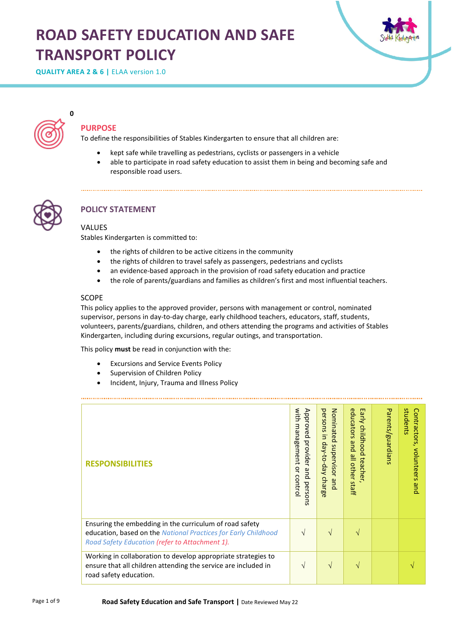# **ROAD SAFETY EDUCATION AND SAFE TRANSPORT POLICY**





**PURPOSE**

**0**

To define the responsibilities of Stables Kindergarten to ensure that all children are:

- kept safe while travelling as pedestrians, cyclists or passengers in a vehicle
- able to participate in road safety education to assist them in being and becoming safe and responsible road users.



## **POLICY STATEMENT**

## VALUES

Stables Kindergarten is committed to:

- the rights of children to be active citizens in the community
- the rights of children to travel safely as passengers, pedestrians and cyclists
- an evidence-based approach in the provision of road safety education and practice
- the role of parents/guardians and families as children's first and most influential teachers.

## SCOPE

This policy applies to the approved provider, persons with management or control, nominated supervisor, persons in day-to-day charge, early childhood teachers, educators, staff, students, volunteers, parents/guardians, children, and others attending the programs and activities of Stables Kindergarten, including during excursions, regular outings, and transportation.

This policy **must** be read in conjunction with the:

- Excursions and Service Events Policy
- Supervision of Children Policy
- Incident, Injury, Trauma and Illness Policy

| <b>RESPONSIBILITIES</b>                                                                                                                                                     | with<br>Approved<br>management<br>provider<br>q<br>and<br>control<br>perso<br>$\overline{5}$ | persons<br>Nominated<br>$\overline{\mathbf{5}}$<br>Aep-co-day<br>supervisor<br>charge<br>pue. | educators<br>Early<br>childhood<br>pue<br>$\stackrel{\omega}{=}$<br>teacher,<br>other staff | Parents/guardians | students<br>Contractors,<br>volunteers<br><b>Brid</b> |
|-----------------------------------------------------------------------------------------------------------------------------------------------------------------------------|----------------------------------------------------------------------------------------------|-----------------------------------------------------------------------------------------------|---------------------------------------------------------------------------------------------|-------------------|-------------------------------------------------------|
| Ensuring the embedding in the curriculum of road safety<br>education, based on the National Practices for Early Childhood<br>Road Safety Education (refer to Attachment 1). | V                                                                                            | $\mathcal{N}$                                                                                 |                                                                                             |                   |                                                       |
| Working in collaboration to develop appropriate strategies to<br>ensure that all children attending the service are included in<br>road safety education.                   | V                                                                                            | $\mathcal{N}$                                                                                 | N                                                                                           |                   |                                                       |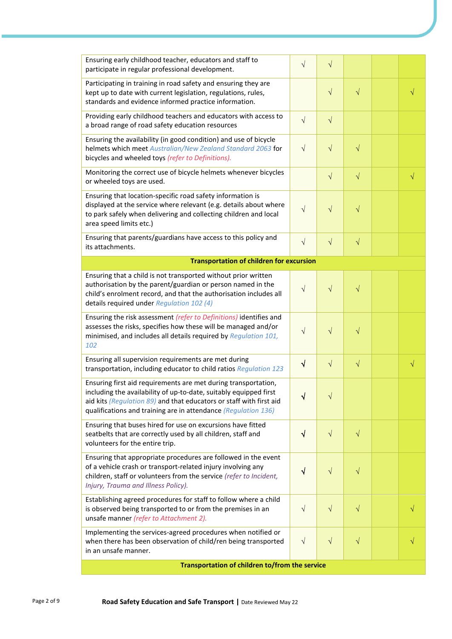| Ensuring early childhood teacher, educators and staff to<br>participate in regular professional development.                                                                                                                                                                 | $\sqrt{}$  | $\sqrt{}$ |           |  |           |  |
|------------------------------------------------------------------------------------------------------------------------------------------------------------------------------------------------------------------------------------------------------------------------------|------------|-----------|-----------|--|-----------|--|
| Participating in training in road safety and ensuring they are<br>kept up to date with current legislation, regulations, rules,<br>standards and evidence informed practice information.                                                                                     |            | $\sqrt{}$ | $\sqrt{}$ |  | $\sqrt{}$ |  |
| Providing early childhood teachers and educators with access to<br>a broad range of road safety education resources                                                                                                                                                          | $\sqrt{ }$ | $\sqrt{}$ |           |  |           |  |
| Ensuring the availability (in good condition) and use of bicycle<br>helmets which meet Australian/New Zealand Standard 2063 for<br>bicycles and wheeled toys (refer to Definitions).                                                                                         | $\sqrt{ }$ | $\sqrt{}$ | $\sqrt{}$ |  |           |  |
| Monitoring the correct use of bicycle helmets whenever bicycles<br>or wheeled toys are used.                                                                                                                                                                                 |            | $\sqrt{}$ | $\sqrt{}$ |  | $\sqrt{}$ |  |
| Ensuring that location-specific road safety information is<br>displayed at the service where relevant (e.g. details about where<br>to park safely when delivering and collecting children and local<br>area speed limits etc.)                                               | $\sqrt{}$  | $\sqrt{}$ | $\sqrt{}$ |  |           |  |
| Ensuring that parents/guardians have access to this policy and<br>its attachments.                                                                                                                                                                                           | $\sqrt{}$  | $\sqrt{}$ | $\sqrt{}$ |  |           |  |
| <b>Transportation of children for excursion</b>                                                                                                                                                                                                                              |            |           |           |  |           |  |
| Ensuring that a child is not transported without prior written<br>authorisation by the parent/guardian or person named in the<br>child's enrolment record, and that the authorisation includes all<br>details required under Regulation 102 (4)                              | $\sqrt{}$  | $\sqrt{}$ | $\sqrt{}$ |  |           |  |
| Ensuring the risk assessment (refer to Definitions) identifies and<br>assesses the risks, specifies how these will be managed and/or<br>minimised, and includes all details required by Regulation 101,<br>102                                                               | $\sqrt{}$  | $\sqrt{}$ | $\sqrt{}$ |  |           |  |
| Ensuring all supervision requirements are met during<br>transportation, including educator to child ratios Regulation 123                                                                                                                                                    | $\sqrt{}$  | $\sqrt{}$ | $\sqrt{}$ |  | $\sqrt{}$ |  |
| Ensuring first aid requirements are met during transportation,<br>including the availability of up-to-date, suitably equipped first<br>aid kits (Regulation 89) and that educators or staff with first aid<br>qualifications and training are in attendance (Regulation 136) | V          |           |           |  |           |  |
| Ensuring that buses hired for use on excursions have fitted<br>seatbelts that are correctly used by all children, staff and<br>volunteers for the entire trip.                                                                                                               | $\sqrt{}$  | $\sqrt{}$ | $\sqrt{}$ |  |           |  |
| Ensuring that appropriate procedures are followed in the event<br>of a vehicle crash or transport-related injury involving any<br>children, staff or volunteers from the service (refer to Incident,<br>Injury, Trauma and Illness Policy).                                  | $\sqrt{}$  | $\sqrt{}$ | $\sqrt{}$ |  |           |  |
| Establishing agreed procedures for staff to follow where a child<br>is observed being transported to or from the premises in an<br>unsafe manner (refer to Attachment 2).                                                                                                    | $\sqrt{}$  | $\sqrt{}$ | $\sqrt{}$ |  |           |  |
| Implementing the services-agreed procedures when notified or<br>when there has been observation of child/ren being transported<br>in an unsafe manner.                                                                                                                       | $\sqrt{}$  | $\sqrt{}$ | $\sqrt{}$ |  |           |  |
| Transportation of children to/from the service                                                                                                                                                                                                                               |            |           |           |  |           |  |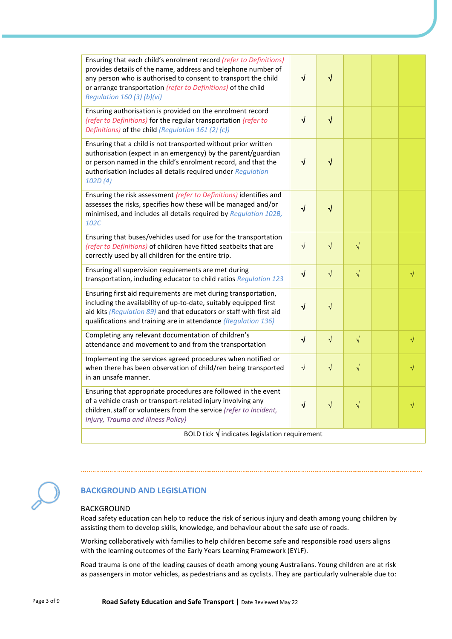| Ensuring that each child's enrolment record (refer to Definitions)<br>provides details of the name, address and telephone number of<br>any person who is authorised to consent to transport the child<br>or arrange transportation (refer to Definitions) of the child<br>Regulation 160 (3) (b)(vi) | $\sqrt{}$ | $\sqrt{}$    |           |  |           |  |
|------------------------------------------------------------------------------------------------------------------------------------------------------------------------------------------------------------------------------------------------------------------------------------------------------|-----------|--------------|-----------|--|-----------|--|
| Ensuring authorisation is provided on the enrolment record<br>(refer to Definitions) for the regular transportation (refer to<br>Definitions) of the child (Regulation 161 (2) (c))                                                                                                                  | $\sqrt{}$ | $\sqrt{}$    |           |  |           |  |
| Ensuring that a child is not transported without prior written<br>authorisation (expect in an emergency) by the parent/guardian<br>or person named in the child's enrolment record, and that the<br>authorisation includes all details required under Regulation<br>102D(4)                          | $\sqrt{}$ | $\checkmark$ |           |  |           |  |
| Ensuring the risk assessment (refer to Definitions) identifies and<br>assesses the risks, specifies how these will be managed and/or<br>minimised, and includes all details required by Regulation 102B,<br>102C                                                                                     | $\sqrt{}$ | $\checkmark$ |           |  |           |  |
| Ensuring that buses/vehicles used for use for the transportation<br>(refer to Definitions) of children have fitted seatbelts that are<br>correctly used by all children for the entire trip.                                                                                                         | $\sqrt{}$ | $\sqrt{}$    | $\sqrt{}$ |  |           |  |
| Ensuring all supervision requirements are met during<br>transportation, including educator to child ratios Regulation 123                                                                                                                                                                            | $\sqrt{}$ | $\sqrt{}$    | $\sqrt{}$ |  | $\sqrt{}$ |  |
| Ensuring first aid requirements are met during transportation,<br>including the availability of up-to-date, suitably equipped first<br>aid kits (Regulation 89) and that educators or staff with first aid<br>qualifications and training are in attendance (Regulation 136)                         | $\sqrt{}$ | $\sqrt{}$    |           |  |           |  |
| Completing any relevant documentation of children's<br>attendance and movement to and from the transportation                                                                                                                                                                                        | $\sqrt{}$ | $\sqrt{}$    | $\sqrt{}$ |  | $\sqrt{}$ |  |
| Implementing the services agreed procedures when notified or<br>when there has been observation of child/ren being transported<br>in an unsafe manner.                                                                                                                                               | $\sqrt{}$ | $\sqrt{}$    | $\sqrt{}$ |  |           |  |
| Ensuring that appropriate procedures are followed in the event<br>of a vehicle crash or transport-related injury involving any<br>children, staff or volunteers from the service (refer to Incident,<br>Injury, Trauma and Illness Policy)                                                           | $\sqrt{}$ | $\sqrt{}$    | $\sqrt{}$ |  |           |  |
| BOLD tick $\sqrt{}$ indicates legislation requirement                                                                                                                                                                                                                                                |           |              |           |  |           |  |



## **BACKGROUND AND LEGISLATION**

## BACKGROUND

Road safety education can help to reduce the risk of serious injury and death among young children by assisting them to develop skills, knowledge, and behaviour about the safe use of roads.

Working collaboratively with families to help children become safe and responsible road users aligns with the learning outcomes of the Early Years Learning Framework (EYLF).

Road trauma is one of the leading causes of death among young Australians. Young children are at risk as passengers in motor vehicles, as pedestrians and as cyclists. They are particularly vulnerable due to: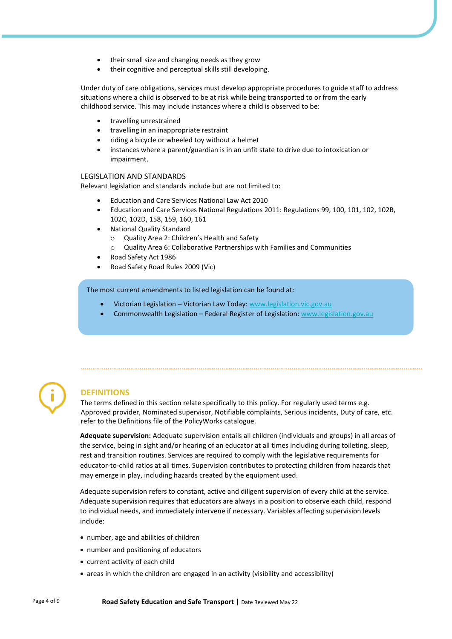- their small size and changing needs as they grow
- their cognitive and perceptual skills still developing.

Under duty of care obligations, services must develop appropriate procedures to guide staff to address situations where a child is observed to be at risk while being transported to or from the early childhood service. This may include instances where a child is observed to be:

- travelling unrestrained
- travelling in an inappropriate restraint
- riding a bicycle or wheeled toy without a helmet
- instances where a parent/guardian is in an unfit state to drive due to intoxication or impairment.

#### LEGISLATION AND STANDARDS

Relevant legislation and standards include but are not limited to:

- Education and Care Services National Law Act 2010
- Education and Care Services National Regulations 2011: Regulations 99, 100, 101, 102, 102B, 102C, 102D, 158, 159, 160, 161
- National Quality Standard
	- Quality Area 2: Children's Health and Safety
	- o Quality Area 6: Collaborative Partnerships with Families and Communities
- Road Safety Act 1986
- Road Safety Road Rules 2009 (Vic)

#### The most current amendments to listed legislation can be found at:

- Victorian Legislation Victorian Law Today[: www.legislation.vic.gov.au](http://www.legislation.vic.gov.au/)
- Commonwealth Legislation Federal Register of Legislation: [www.legislation.gov.au](http://www.legislation.gov.au/)



## **DEFINITIONS**

The terms defined in this section relate specifically to this policy. For regularly used terms e.g. Approved provider, Nominated supervisor, Notifiable complaints, Serious incidents, Duty of care, etc. refer to the Definitions file of the PolicyWorks catalogue.

**Adequate supervision:** Adequate supervision entails all children (individuals and groups) in all areas of the service, being in sight and/or hearing of an educator at all times including during toileting, sleep, rest and transition routines. Services are required to comply with the legislative requirements for educator-to-child ratios at all times. Supervision contributes to protecting children from hazards that may emerge in play, including hazards created by the equipment used.

Adequate supervision refers to constant, active and diligent supervision of every child at the service. Adequate supervision requires that educators are always in a position to observe each child, respond to individual needs, and immediately intervene if necessary. Variables affecting supervision levels include:

- number, age and abilities of children
- number and positioning of educators
- current activity of each child
- areas in which the children are engaged in an activity (visibility and accessibility)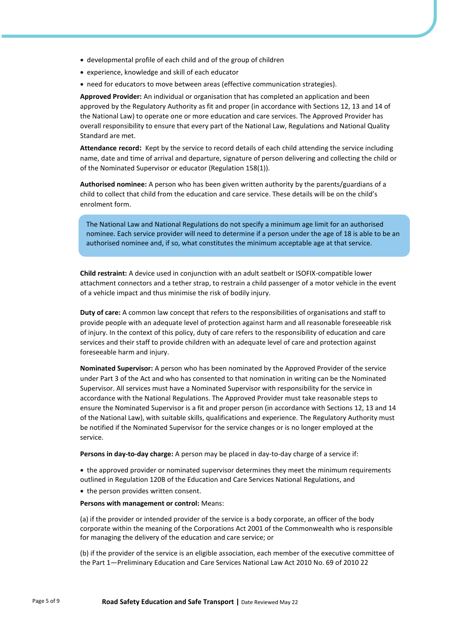- developmental profile of each child and of the group of children
- experience, knowledge and skill of each educator
- need for educators to move between areas (effective communication strategies).

**Approved Provider:** An individual or organisation that has completed an application and been approved by the Regulatory Authority as fit and proper (in accordance with Sections 12, 13 and 14 of the National Law) to operate one or more education and care services. The Approved Provider has overall responsibility to ensure that every part of the National Law, Regulations and National Quality Standard are met.

**Attendance record:** Kept by the service to record details of each child attending the service including name, date and time of arrival and departure, signature of person delivering and collecting the child or of the Nominated Supervisor or educator (Regulation 158(1)).

**Authorised nominee:** A person who has been given written authority by the parents/guardians of a child to collect that child from the education and care service. These details will be on the child's enrolment form.

The National Law and National Regulations do not specify a minimum age limit for an authorised nominee. Each service provider will need to determine if a person under the age of 18 is able to be an authorised nominee and, if so, what constitutes the minimum acceptable age at that service.

**Child restraint:** A device used in conjunction with an adult seatbelt or ISOFIX-compatible lower attachment connectors and a tether strap, to restrain a child passenger of a motor vehicle in the event of a vehicle impact and thus minimise the risk of bodily injury.

**Duty of care:** A common law concept that refers to the responsibilities of organisations and staff to provide people with an adequate level of protection against harm and all reasonable foreseeable risk of injury. In the context of this policy, duty of care refers to the responsibility of education and care services and their staff to provide children with an adequate level of care and protection against foreseeable harm and injury.

**Nominated Supervisor:** A person who has been nominated by the Approved Provider of the service under Part 3 of the Act and who has consented to that nomination in writing can be the Nominated Supervisor. All services must have a Nominated Supervisor with responsibility for the service in accordance with the National Regulations. The Approved Provider must take reasonable steps to ensure the Nominated Supervisor is a fit and proper person (in accordance with Sections 12, 13 and 14 of the National Law), with suitable skills, qualifications and experience. The Regulatory Authority must be notified if the Nominated Supervisor for the service changes or is no longer employed at the service.

**Persons in day-to-day charge:** A person may be placed in day-to-day charge of a service if:

• the approved provider or nominated supervisor determines they meet the minimum requirements outlined in Regulation 120B of the Education and Care Services National Regulations, and

• the person provides written consent.

**Persons with management or control:** Means:

(a) if the provider or intended provider of the service is a body corporate, an officer of the body corporate within the meaning of the Corporations Act 2001 of the Commonwealth who is responsible for managing the delivery of the education and care service; or

(b) if the provider of the service is an eligible association, each member of the executive committee of the Part 1—Preliminary Education and Care Services National Law Act 2010 No. 69 of 2010 22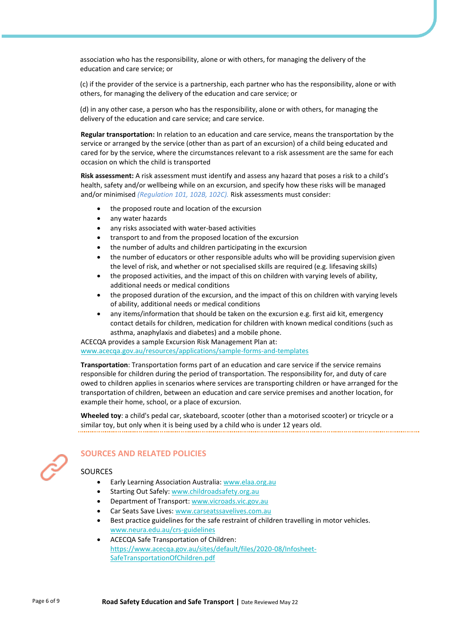association who has the responsibility, alone or with others, for managing the delivery of the education and care service; or

(c) if the provider of the service is a partnership, each partner who has the responsibility, alone or with others, for managing the delivery of the education and care service; or

(d) in any other case, a person who has the responsibility, alone or with others, for managing the delivery of the education and care service; and care service.

**Regular transportation:** In relation to an education and care service, means the transportation by the service or arranged by the service (other than as part of an excursion) of a child being educated and cared for by the service, where the circumstances relevant to a risk assessment are the same for each occasion on which the child is transported

**Risk assessment:** A risk assessment must identify and assess any hazard that poses a risk to a child's health, safety and/or wellbeing while on an excursion, and specify how these risks will be managed and/or minimised *(Regulation 101, 102B, 102C).* Risk assessments must consider:

- the proposed route and location of the excursion
- any water hazards
- any risks associated with water-based activities
- transport to and from the proposed location of the excursion
- the number of adults and children participating in the excursion
- the number of educators or other responsible adults who will be providing supervision given the level of risk, and whether or not specialised skills are required (e.g. lifesaving skills)
- the proposed activities, and the impact of this on children with varying levels of ability, additional needs or medical conditions
- the proposed duration of the excursion, and the impact of this on children with varying levels of ability, additional needs or medical conditions
- any items/information that should be taken on the excursion e.g. first aid kit, emergency contact details for children, medication for children with known medical conditions (such as asthma, anaphylaxis and diabetes) and a mobile phone.

ACECQA provides a sample Excursion Risk Management Plan at:

[www.acecqa.gov.au/resources/applications/sample-forms-and-templates](https://www.acecqa.gov.au/resources/applications/sample-forms-and-templates)

**Transportation**: Transportation forms part of an education and care service if the service remains responsible for children during the period of transportation. The responsibility for, and duty of care owed to children applies in scenarios where services are transporting children or have arranged for the transportation of children, between an education and care service premises and another location, for example their home, school, or a place of excursion.

**Wheeled toy**: a child's pedal car, skateboard, scooter (other than a motorised scooter) or tricycle or a similar toy, but only when it is being used by a child who is under 12 years old.



## **SOURCES AND RELATED POLICIES**

## SOURCES

- Early Learning Association Australia[: www.elaa.org.au](http://www.elaa.org.au/)
- Starting Out Safely: [www.childroadsafety.org.au](https://childroadsafety.org.au/)
- Department of Transport[: www.vicroads.vic.gov.au](https://www.vicroads.vic.gov.au/)
- Car Seats Save Lives: [www.carseatssavelives.com.au](https://carseatssavelives.com.au/)
- Best practice guidelines for the safe restraint of children travelling in motor vehicles. [www.neura.edu.au/crs-guidelines](https://www.neura.edu.au/crs-guidelines/)
- ACECQA Safe Transportation of Children: [https://www.acecqa.gov.au/sites/default/files/2020-08/Infosheet-](https://www.acecqa.gov.au/sites/default/files/2020-08/Infosheet-SafeTransportationOfChildren.pdf)[SafeTransportationOfChildren.pdf](https://www.acecqa.gov.au/sites/default/files/2020-08/Infosheet-SafeTransportationOfChildren.pdf)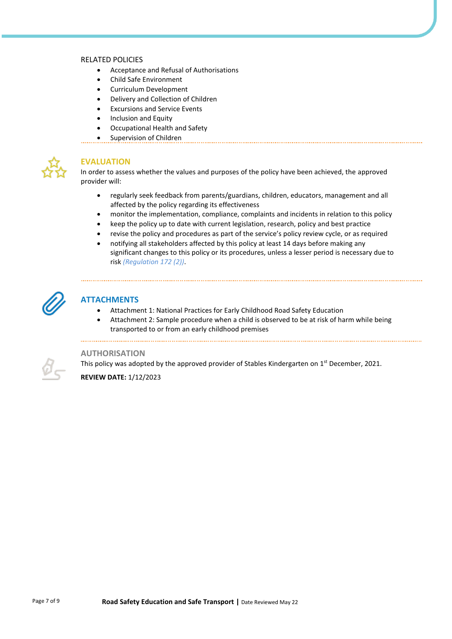## RELATED POLICIES

- Acceptance and Refusal of Authorisations
- Child Safe Environment
- Curriculum Development
- Delivery and Collection of Children
- Excursions and Service Events
- Inclusion and Equity
- Occupational Health and Safety
- Supervision of Children



## **EVALUATION**

In order to assess whether the values and purposes of the policy have been achieved, the approved provider will:

- regularly seek feedback from parents/guardians, children, educators, management and all affected by the policy regarding its effectiveness
- monitor the implementation, compliance, complaints and incidents in relation to this policy
- keep the policy up to date with current legislation, research, policy and best practice
- revise the policy and procedures as part of the service's policy review cycle, or as required
- notifying all stakeholders affected by this policy at least 14 days before making any significant changes to this policy or its procedures, unless a lesser period is necessary due to risk *(Regulation 172 (2))*.



## **ATTACHMENTS**

- Attachment 1: National Practices for Early Childhood Road Safety Education
- Attachment 2: Sample procedure when a child is observed to be at risk of harm while being transported to or from an early childhood premises

## **AUTHORISATION**

This policy was adopted by the approved provider of Stables Kindergarten on 1<sup>st</sup> December, 2021.

**REVIEW DATE:** 1/12/2023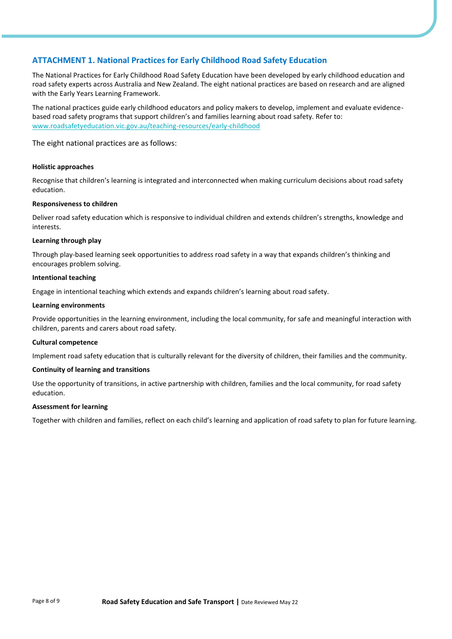## **ATTACHMENT 1. National Practices for Early Childhood Road Safety Education**

The National Practices for Early Childhood Road Safety Education have been developed by early childhood education and road safety experts across Australia and New Zealand. The eight national practices are based on research and are aligned with the Early Years Learning Framework.

The national practices guide early childhood educators and policy makers to develop, implement and evaluate evidencebased road safety programs that support children's and families learning about road safety. Refer to: [www.roadsafetyeducation.vic.gov.au/teaching-resources/early-childhood](http://www.roadsafetyeducation.vic.gov.au/teaching-resources/early-childhood)

The eight national practices are as follows:

## **Holistic approaches**

Recognise that children's learning is integrated and interconnected when making curriculum decisions about road safety education.

### **Responsiveness to children**

Deliver road safety education which is responsive to individual children and extends children's strengths, knowledge and interests.

### **Learning through play**

Through play-based learning seek opportunities to address road safety in a way that expands children's thinking and encourages problem solving.

## **Intentional teaching**

Engage in intentional teaching which extends and expands children's learning about road safety.

### **Learning environments**

Provide opportunities in the learning environment, including the local community, for safe and meaningful interaction with children, parents and carers about road safety.

#### **Cultural competence**

Implement road safety education that is culturally relevant for the diversity of children, their families and the community.

## **Continuity of learning and transitions**

Use the opportunity of transitions, in active partnership with children, families and the local community, for road safety education.

## **Assessment for learning**

Together with children and families, reflect on each child's learning and application of road safety to plan for future learning.